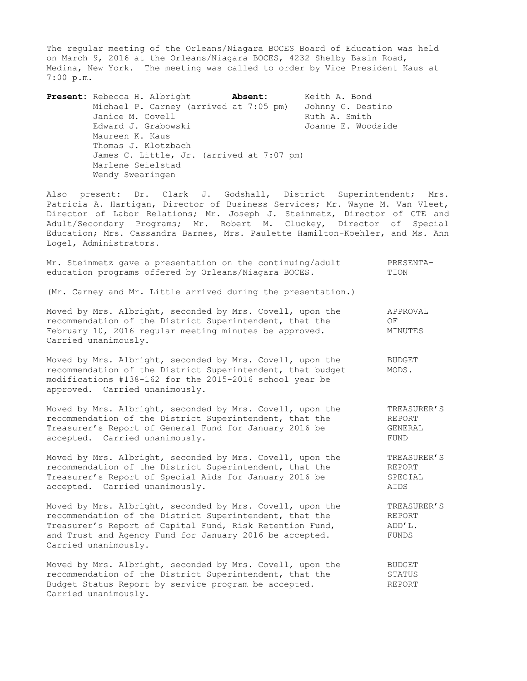The regular meeting of the Orleans/Niagara BOCES Board of Education was held on March 9, 2016 at the Orleans/Niagara BOCES, 4232 Shelby Basin Road, Medina, New York. The meeting was called to order by Vice President Kaus at 7:00 p.m.

**Present:** Rebecca H. Albright **Absent:** Keith A. Bond Michael P. Carney (arrived at 7:05 pm) Johnny G. Destino Janice M. Covell **Ruth A. Smith** Edward J. Grabowski Green Comme E. Woodside Maureen K. Kaus Thomas J. Klotzbach James C. Little, Jr. (arrived at 7:07 pm) Marlene Seielstad Wendy Swearingen

Also present: Dr. Clark J. Godshall, District Superintendent; Mrs. Patricia A. Hartigan, Director of Business Services; Mr. Wayne M. Van Vleet, Director of Labor Relations; Mr. Joseph J. Steinmetz, Director of CTE and Adult/Secondary Programs; Mr. Robert M. Cluckey, Director of Special Education; Mrs. Cassandra Barnes, Mrs. Paulette Hamilton-Koehler, and Ms. Ann Logel, Administrators.

|  |  |  |  |  | Mr. Steinmetz gave a presentation on the continuing/adult |  | PRESENTA- |  |
|--|--|--|--|--|-----------------------------------------------------------|--|-----------|--|
|  |  |  |  |  | education programs offered by Orleans/Niagara BOCES.      |  | TION      |  |

(Mr. Carney and Mr. Little arrived during the presentation.)

| Moved by Mrs. Albright, seconded by Mrs. Covell, upon the | APPROVAL |
|-----------------------------------------------------------|----------|
| recommendation of the District Superintendent, that the   | OF.      |
| February 10, 2016 regular meeting minutes be approved.    | MINUTES  |
| Carried unanimously.                                      |          |

Moved by Mrs. Albright, seconded by Mrs. Covell, upon the BUDGET recommendation of the District Superintendent, that budget MODS. modifications #138-162 for the 2015-2016 school year be approved. Carried unanimously.

Moved by Mrs. Albright, seconded by Mrs. Covell, upon the TREASURER'S<br>recommendation of the District Superintendent, that the REPORT recommendation of the District Superintendent, that the Treasurer's Report of General Fund for January 2016 be GENERAL accepted. Carried unanimously. The contract of the set of the set of the set of the set of the set of the set of the set of the set of the set of the set of the set of the set of the set of the set of the set of the set of

Moved by Mrs. Albright, seconded by Mrs. Covell, upon the TREASURER'S<br>recommendation of the District Superintendent, that the REPORT recommendation of the District Superintendent, that the Treasurer's Report of Special Aids for January 2016 be SPECIAL accepted. Carried unanimously. AIDS

Moved by Mrs. Albright, seconded by Mrs. Covell, upon the TREASURER'S recommendation of the District Superintendent, that the REPORT Treasurer's Report of Capital Fund, Risk Retention Fund,  $ADD'L$ . recommendation of the District Superintention, The Pund,<br>Treasurer's Report of Capital Fund, Risk Retention Fund, ADD'L.<br>And Trust and Agency Fund for January 2016 be accepted. and Trust and Agency Fund for January 2016 be accepted. Carried unanimously.

Moved by Mrs. Albright, seconded by Mrs. Covell, upon the BUDGET recommendation of the District Superintendent, that the STATUS Budget Status Report by service program be accepted. The REPORT Carried unanimously.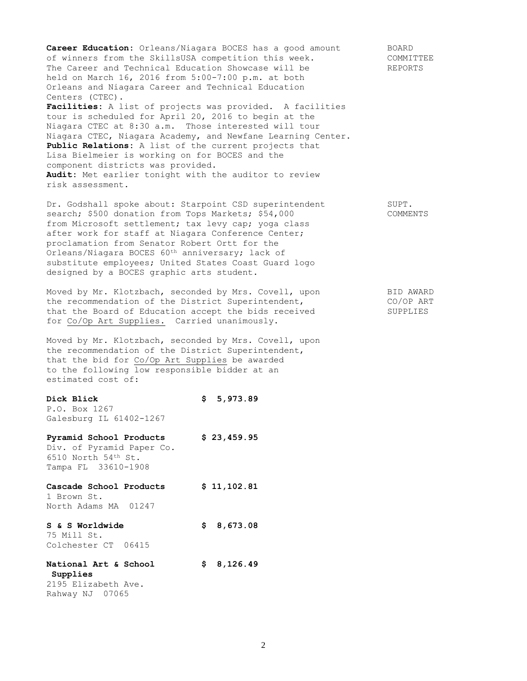Career Education: Orleans/Niagara BOCES has a good amount BOARD Career Laucalion. Virtually, with the second of winners from the SkillsUSA competition this week. COMMITTEE The Career and Technical Education Showcase will be REPORTS held on March 16, 2016 from 5:00-7:00 p.m. at both Orleans and Niagara Career and Technical Education Centers (CTEC). **Facilities:** A list of projects was provided. A facilities

tour is scheduled for April 20, 2016 to begin at the Niagara CTEC at 8:30 a.m. Those interested will tour Niagara CTEC, Niagara Academy, and Newfane Learning Center. **Public Relations:** A list of the current projects that Lisa Bielmeier is working on for BOCES and the component districts was provided. **Audit:** Met earlier tonight with the auditor to review risk assessment.

Dr. Godshall spoke about: Starpoint CSD superintendent SUPT. search; \$500 donation from Tops Markets; \$54,000 COMMENTS from Microsoft settlement; tax levy cap; yoga class after work for staff at Niagara Conference Center; proclamation from Senator Robert Ortt for the Orleans/Niagara BOCES 60th anniversary; lack of substitute employees; United States Coast Guard logo designed by a BOCES graphic arts student.

Moved by Mr. Klotzbach, seconded by Mrs. Covell, upon BID AWARD the recommendation of the District Superintendent, The CO/OP ART that the Board of Education accept the bids received SUPPLIES for Co/Op Art Supplies. Carried unanimously.

Moved by Mr. Klotzbach, seconded by Mrs. Covell, upon the recommendation of the District Superintendent, that the bid for Co/Op Art Supplies be awarded to the following low responsible bidder at an estimated cost of:

**Dick Blick \$ 5,973.89** P.O. Box 1267 Galesburg IL 61402-1267

**Pyramid School Products \$ 23,459.95** Div. of Pyramid Paper Co. 6510 North 54th St. Tampa FL 33610-1908

**Cascade School Products \$ 11,102.81** 1 Brown St. North Adams MA 01247

**S & S Worldwide \$ 8,673.08** 75 Mill St. Colchester CT 06415

**National Art & School \$ 8,126.49 Supplies** 2195 Elizabeth Ave.

Rahway NJ 07065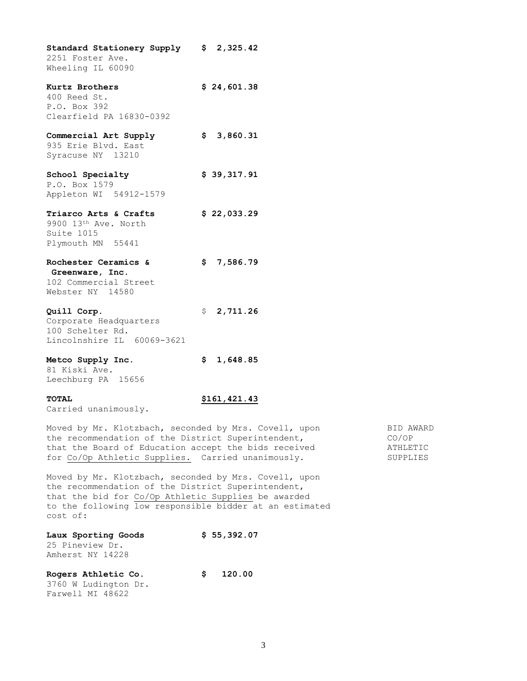| Standard Stationery Supply \$ 2,325.42 |     |             |
|----------------------------------------|-----|-------------|
| 2251 Foster Ave.                       |     |             |
| Wheeling IL 60090                      |     |             |
| Kurtz Brothers                         |     | \$24,601.38 |
| 400 Reed St.                           |     |             |
| P.O. Box 392                           |     |             |
| Clearfield PA 16830-0392               |     |             |
| Commercial Art Supply                  |     | \$3,860.31  |
| 935 Erie Blvd. East                    |     |             |
| Syracuse NY 13210                      |     |             |
| School Specialty                       |     | \$39,317.91 |
| P.O. Box 1579                          |     |             |
| Appleton WI 54912-1579                 |     |             |
| Triarco Arts & Crafts                  |     | \$22,033.29 |
| 9900 13th Ave. North                   |     |             |
| Suite 1015                             |     |             |
| Plymouth MN 55441                      |     |             |
| Rochester Ceramics &                   |     | \$7,586.79  |
| Greenware, Inc.                        |     |             |
| 102 Commercial Street                  |     |             |
| Webster NY 14580                       |     |             |
| Quill Corp.                            |     | \$2,711.26  |
| Corporate Headquarters                 |     |             |
| 100 Schelter Rd.                       |     |             |
| Lincolnshire IL 60069-3621             |     |             |
| Metco Supply Inc.                      | \$. | 1,648.85    |
| 81 Kiski Ave.                          |     |             |

Leechburg PA 15656

# **TOTAL \$161,421.43**

Carried unanimously.

Moved by Mr. Klotzbach, seconded by Mrs. Covell, upon BID AWARD the recommendation of the District Superintendent, The CO/OP that the Board of Education accept the bids received **ATHLETIC** for Co/Op Athletic Supplies. Carried unanimously. SUPPLIES

Moved by Mr. Klotzbach, seconded by Mrs. Covell, upon the recommendation of the District Superintendent, that the bid for Co/Op Athletic Supplies be awarded to the following low responsible bidder at an estimated cost of:

| Laux Sporting Goods |    | \$55,392.07 |  |  |
|---------------------|----|-------------|--|--|
| 25 Pineview Dr.     |    |             |  |  |
| Amherst NY 14228    |    |             |  |  |
| Rogers Athletic Co. | S. | 120.00      |  |  |

3760 W Ludington Dr. Farwell MI 48622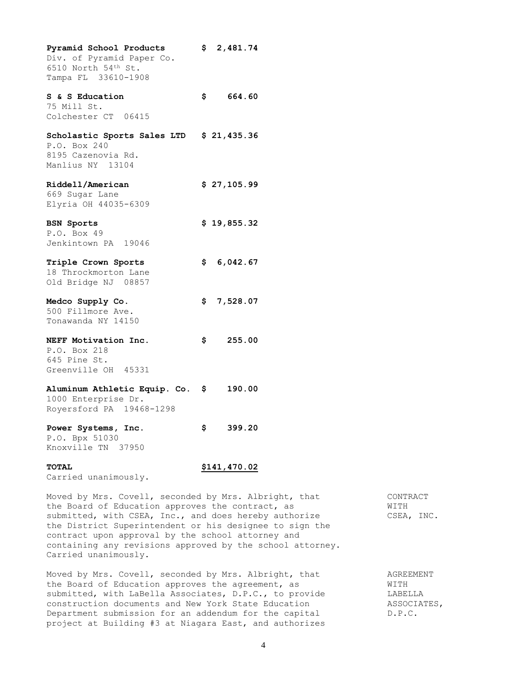| Pyramid School Products<br>Div. of Pyramid Paper Co.<br>6510 North 54th St.<br>Tampa FL 33610-1908 | \$  | 2,481.74    |
|----------------------------------------------------------------------------------------------------|-----|-------------|
| S & S Education<br>75 Mill St.<br>Colchester CT 06415                                              |     | \$664.60    |
| Scholastic Sports Sales LTD \$ 21,435.36<br>P.O. Box 240<br>8195 Cazenovia Rd.<br>Manlius NY 13104 |     |             |
| Riddell/American<br>669 Sugar Lane<br>Elyria OH 44035-6309                                         |     | \$27,105.99 |
| <b>BSN Sports</b><br>P.O. Box 49<br>Jenkintown PA 19046                                            |     | \$19,855.32 |
| Triple Crown Sports<br>18 Throckmorton Lane<br>Old Bridge NJ 08857                                 |     | \$6,042.67  |
| Medco Supply Co.<br>500 Fillmore Ave.<br>Tonawanda NY 14150                                        |     | \$7,528.07  |
| NEFF Motivation Inc.<br>P.O. Box 218<br>645 Pine St.<br>Greenville OH 45331                        |     | \$255.00    |
| Aluminum Athletic Equip. Co. \$ 190.00<br>1000 Enterprise Dr.<br>Royersford PA 19468-1298          |     |             |
| Power Systems, Inc.<br>P.O. Bpx 51030<br>Knoxville TN 37950                                        | \$. | 399.20      |

### **TOTAL \$141,470.02**

Carried unanimously.

Moved by Mrs. Covell, seconded by Mrs. Albright, that CONTRACT the Board of Education approves the contract, as WITH submitted, with CSEA, Inc., and does hereby authorize CSEA, INC. the District Superintendent or his designee to sign the contract upon approval by the school attorney and containing any revisions approved by the school attorney. Carried unanimously.

Moved by Mrs. Covell, seconded by Mrs. Albright, that AGREEMENT the Board of Education approves the agreement, as WITH submitted, with LaBella Associates, D.P.C., to provide LABELLA construction documents and New York State Education **ASSOCIATES**, Department submission for an addendum for the capital D.P.C. project at Building #3 at Niagara East, and authorizes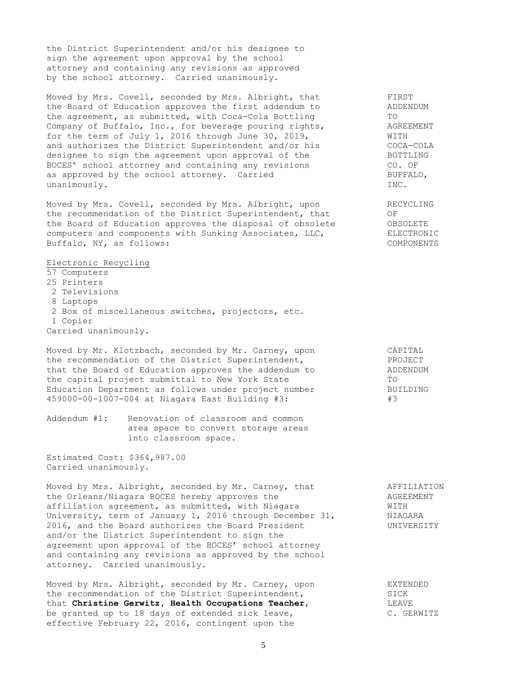the District Superintendent and/or his designee to sign the agreement upon approval by the school attorney and containing any revisions as approved by the school attorney. Carried unanimously.

Moved by Mrs. Covell, seconded by Mrs. Albright, that FIRST the Board of Education approves the first addendum to ADDENDUM the agreement, as submitted, with Coca-Cola Bottling TO TO<br>Company of Buffalo, Inc., for beverage pouring rights, AGREEMENT the agreement, as submitted, with Coca-Cola Bottling<br>Company of Buffalo, Inc., for beverage pouring rights,<br>for the term of July 1, 2016 through June 30, 2019, for the term of July 1, 2016 through June 30, 2019, WITH Ior the term of July 1, 2010 Chrongh July 20, 2000, 2000, 2000<br>and authorizes the District Superintendent and/or his COCA-COLA<br>designee to sign the agreement upon approval of the BOTTLING designee to sign the agreement upon approval of the BOCES' school attorney and containing any revisions CO. OF as approved by the school attorney. Carried BUFFALO, unanimously. INC.

Moved by Mrs. Covell, seconded by Mrs. Albright, upon RECYCLING the recommendation of the District Superintendent, that OF the Board of Education approves the disposal of obsolete OBSOLETE computers and components with Sunking Associates, LLC, ELECTRONIC Buffalo, NY, as follows: COMPONENTS

Electronic Recycling

- 57 Computers 25 Printers
- 2 Televisions
- 8 Laptops
- 2 Box of miscellaneous switches, projectors, etc.
- 1 Copier
- Carried unanimously.

Moved by Mr. Klotzbach, seconded by Mr. Carney, upon CAPITAL<br>the recommendation of the District Superintendent. the recommendation of the District Superintendent, The PROJECT that the Board of Education approves the addendum to ADDENDUM the capital project submittal to New York State TO Education Department as follows under project number BUILDING<br>459000-00-1007-004 at Niagara East Building #3: #3 459000-00-1007-004 at Niagara East Building #3: #3

Addendum #1: Renovation of classroom and common area space to convert storage areas into classroom space.

Estimated Cost: \$364,987.00 Carried unanimously.

Moved by Mrs. Albright, seconded by Mr. Carney, that AFFILIATION the Orleans/Niagara BOCES hereby approves the AGREEMENT affiliation agreement, as submitted, with Niagara WITH University, term of January 1, 2016 through December 31, NIAGARA 2016, and the Board authorizes the Board President Theory CONIVERSITY and/or the District Superintendent to sign the agreement upon approval of the BOCES' school attorney and containing any revisions as approved by the school attorney. Carried unanimously.

Moved by Mrs. Albright, seconded by Mr. Carney, upon EXTENDED the recommendation of the District Superintendent, SICK that **Christine Gerwitz, Health Occupations Teacher**, LEAVE be granted up to 18 days of extended sick leave, C. GERWITZ effective February 22, 2016, contingent upon the

5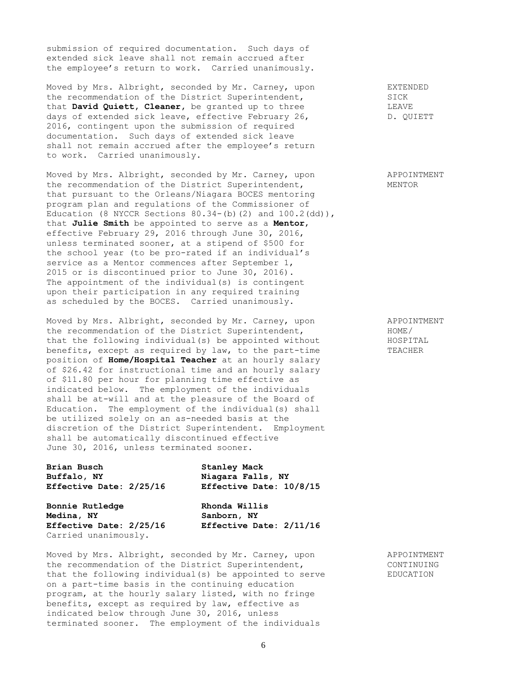submission of required documentation. Such days of extended sick leave shall not remain accrued after the employee's return to work. Carried unanimously.

Moved by Mrs. Albright, seconded by Mr. Carney, upon EXTENDED the recommendation of the District Superintendent, SICK that **David Quiett, Cleaner,** be granted up to three **LEAVE** days of extended sick leave, effective February 26, Theory D. QUIETT 2016, contingent upon the submission of required documentation. Such days of extended sick leave shall not remain accrued after the employee's return to work. Carried unanimously.

Moved by Mrs. Albright, seconded by Mr. Carney, upon APPOINTMENT the recommendation of the District Superintendent, MENTOR that pursuant to the Orleans/Niagara BOCES mentoring program plan and regulations of the Commissioner of Education (8 NYCCR Sections  $80.34-(b)$  (2) and  $100.2$ (dd)), that **Julie Smith** be appointed to serve as a **Mentor**, effective February 29, 2016 through June 30, 2016, unless terminated sooner, at a stipend of \$500 for the school year (to be pro-rated if an individual's service as a Mentor commences after September 1, 2015 or is discontinued prior to June 30, 2016). The appointment of the individual(s) is contingent upon their participation in any required training as scheduled by the BOCES. Carried unanimously.

Moved by Mrs. Albright, seconded by Mr. Carney, upon APPOINTMENT the recommendation of the District Superintendent,<br>
that the following individual(s) be appointed without HOSPITAL that the following individual(s) be appointed without benefits, except as required by law, to the part-time TEACHER position of **Home/Hospital Teacher** at an hourly salary of \$26.42 for instructional time and an hourly salary of \$11.80 per hour for planning time effective as indicated below. The employment of the individuals shall be at-will and at the pleasure of the Board of Education. The employment of the individual(s) shall be utilized solely on an as-needed basis at the discretion of the District Superintendent. Employment shall be automatically discontinued effective June 30, 2016, unless terminated sooner.

| Brian Busch             | <b>Stanley Mack</b>     |  |  |  |
|-------------------------|-------------------------|--|--|--|
| Buffalo, NY             | Niagara Falls, NY       |  |  |  |
| Effective Date: 2/25/16 | Effective Date: 10/8/15 |  |  |  |
| Bonnie Rutledge         | Rhonda Willis           |  |  |  |

**Medina, NY Sanborn, NY Effective Date: 2/25/16 Effective Date: 2/11/16** Carried unanimously.

Moved by Mrs. Albright, seconded by Mr. Carney, upon APPOINTMENT the recommendation of the District Superintendent, The CONTINUING that the following individual(s) be appointed to serve EDUCATION on a part-time basis in the continuing education program, at the hourly salary listed, with no fringe benefits, except as required by law, effective as indicated below through June 30, 2016, unless terminated sooner. The employment of the individuals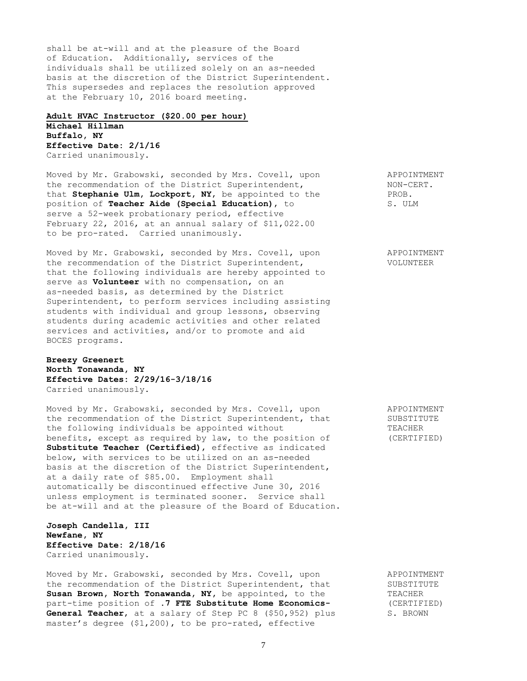shall be at-will and at the pleasure of the Board of Education. Additionally, services of the individuals shall be utilized solely on an as-needed basis at the discretion of the District Superintendent. This supersedes and replaces the resolution approved at the February 10, 2016 board meeting.

# **Adult HVAC Instructor (\$20.00 per hour) Michael Hillman Buffalo, NY Effective Date: 2/1/16**

Carried unanimously.

Moved by Mr. Grabowski, seconded by Mrs. Covell, upon APPOINTMENT the recommendation of the District Superintendent,  $N$  MON-CERT.<br>
that **Stephanie Ulm, Lockport, NY,** be appointed to the PROB. that **Stephanie Ulm, Lockport, NY,** be appointed to the PROB.<br>position of **Teacher Aide (Special Education),** to S. ULM position of **Teacher Aide (Special Education)**, to serve a 52-week probationary period, effective February 22, 2016, at an annual salary of \$11,022.00 to be pro-rated. Carried unanimously.

Moved by Mr. Grabowski, seconded by Mrs. Covell, upon APPOINTMENT the recommendation of the District Superintendent, VOLUNTEER that the following individuals are hereby appointed to serve as **Volunteer** with no compensation, on an as-needed basis, as determined by the District Superintendent, to perform services including assisting students with individual and group lessons, observing students during academic activities and other related services and activities, and/or to promote and aid BOCES programs.

**Breezy Greenert North Tonawanda, NY Effective Dates: 2/29/16-3/18/16** Carried unanimously.

Moved by Mr. Grabowski, seconded by Mrs. Covell, upon APPOINTMENT the recommendation of the District Superintendent, that SUBSTITUTE the following individuals be appointed without TEACHER benefits, except as required by law, to the position of (CERTIFIED) **Substitute Teacher (Certified)**, effective as indicated below, with services to be utilized on an as-needed basis at the discretion of the District Superintendent, at a daily rate of \$85.00. Employment shall automatically be discontinued effective June 30, 2016 unless employment is terminated sooner. Service shall be at-will and at the pleasure of the Board of Education.

**Joseph Candella, III Newfane, NY Effective Date: 2/18/16** Carried unanimously.

Moved by Mr. Grabowski, seconded by Mrs. Covell, upon APPOINTMENT the recommendation of the District Superintendent, that SUBSTITUTE Susan Brown, North Tonawanda, NY, be appointed, to the TEACHER part-time position of **.7 FTE Substitute Home Economics-** (CERTIFIED) part-time position of .7 FTE Substitute Home Economics-<br>**General Teacher**, at a salary of Step PC 8 (\$50,952) plus S. BROWN master's degree (\$1,200), to be pro-rated, effective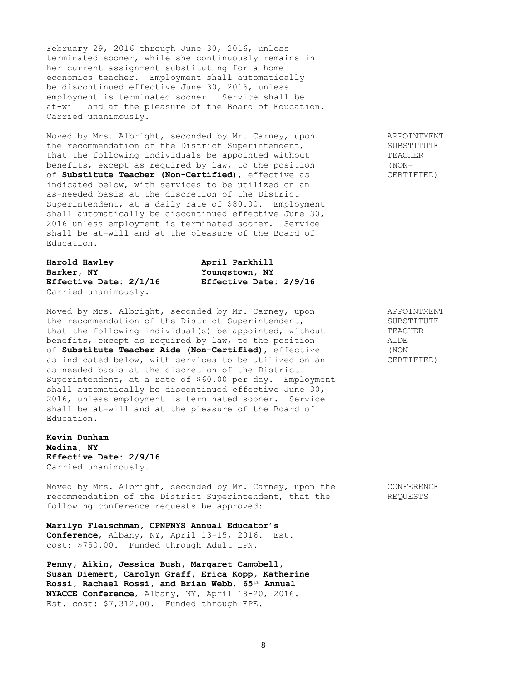February 29, 2016 through June 30, 2016, unless terminated sooner, while she continuously remains in her current assignment substituting for a home economics teacher. Employment shall automatically be discontinued effective June 30, 2016, unless employment is terminated sooner. Service shall be at-will and at the pleasure of the Board of Education. Carried unanimously.

Moved by Mrs. Albright, seconded by Mr. Carney, upon APPOINTMENT the recommendation of the District Superintendent, SUBSTITUTE<br>
that the following individuals be appointed without TEACHER that the following individuals be appointed without benefits, except as required by law, to the position (NONof **Substitute Teacher (Non-Certified)**, effective as CERTIFIED) indicated below, with services to be utilized on an as-needed basis at the discretion of the District Superintendent, at a daily rate of \$80.00. Employment shall automatically be discontinued effective June 30, 2016 unless employment is terminated sooner. Service shall be at-will and at the pleasure of the Board of Education.

| Harold Hawley          | April |  |  |
|------------------------|-------|--|--|
| Barker, NY             | Younc |  |  |
| Effective Date: 2/1/16 | Effec |  |  |
| Carried unanimously.   |       |  |  |

**Harold Hawley April Parkhill Barker, NY Youngstown, NY Effective Date: 2/1/16 Effective Date: 2/9/16**

Moved by Mrs. Albright, seconded by Mr. Carney, upon APPOINTMENT the recommendation of the District Superintendent,<br>
that the following individual(s) be appointed, without TEACHER that the following individual(s) be appointed, without benefits, except as required by law, to the position AIDE of **Substitute Teacher Aide (Non-Certified)**, effective as indicated below, with services to be utilized on an CERTIFIED) as-needed basis at the discretion of the District Superintendent, at a rate of \$60.00 per day. Employment shall automatically be discontinued effective June 30, 2016, unless employment is terminated sooner. Service shall be at-will and at the pleasure of the Board of Education.

**Kevin Dunham Medina, NY Effective Date: 2/9/16** Carried unanimously.

Moved by Mrs. Albright, seconded by Mr. Carney, upon the CONFERENCE recommendation of the District Superintendent, that the REQUESTS following conference requests be approved:

**Marilyn Fleischman, CPNPNYS Annual Educator's Conference**, Albany, NY, April 13-15, 2016. Est. cost: \$750.00. Funded through Adult LPN.

**Penny, Aikin, Jessica Bush, Margaret Campbell, Susan Diemert, Carolyn Graff, Erica Kopp, Katherine Rossi, Rachael Rossi, and Brian Webb**, **65th Annual NYACCE Conference**, Albany, NY, April 18-20, 2016. Est. cost: \$7,312.00. Funded through EPE.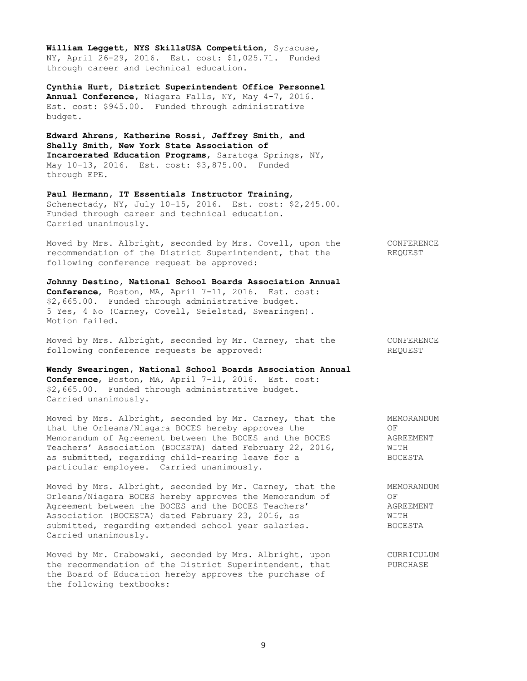**William Leggett, NYS SkillsUSA Competition**, Syracuse, NY, April 26-29, 2016. Est. cost: \$1,025.71. Funded through career and technical education.

**Cynthia Hurt, District Superintendent Office Personnel Annual Conference,** Niagara Falls, NY, May 4-7, 2016. Est. cost: \$945.00. Funded through administrative budget.

**Edward Ahrens, Katherine Rossi, Jeffrey Smith, and Shelly Smith, New York State Association of Incarcerated Education Programs**, Saratoga Springs, NY, May 10-13, 2016. Est. cost: \$3,875.00. Funded through EPE.

**Paul Hermann, IT Essentials Instructor Training**, Schenectady, NY, July 10-15, 2016. Est. cost: \$2,245.00. Funded through career and technical education. Carried unanimously.

Moved by Mrs. Albright, seconded by Mrs. Covell, upon the CONFERENCE recommendation of the District Superintendent, that the REQUEST following conference request be approved:

**Johnny Destino, National School Boards Association Annual Conference**, Boston, MA, April 7-11, 2016. Est. cost: \$2,665.00. Funded through administrative budget. 5 Yes, 4 No (Carney, Covell, Seielstad, Swearingen). Motion failed.

Moved by Mrs. Albright, seconded by Mr. Carney, that the CONFERENCE following conference requests be approved:  $REQUEST$ 

**Wendy Swearingen, National School Boards Association Annual Conference**, Boston, MA, April 7-11, 2016. Est. cost: \$2,665.00. Funded through administrative budget. Carried unanimously.

Moved by Mrs. Albright, seconded by Mr. Carney, that the MEMORANDUM that the Orleans/Niagara BOCES hereby approves the OF Memorandum of Agreement between the BOCES and the BOCES AGREEMENT Teachers' Association (BOCESTA) dated February 22, 2016, WITH as submitted, regarding child-rearing leave for a BOCESTA particular employee. Carried unanimously.

Moved by Mrs. Albright, seconded by Mr. Carney, that the MEMORANDUM Orleans/Niagara BOCES hereby approves the Memorandum of OF Agreement between the BOCES and the BOCES Teachers' AGREEMENT Association (BOCESTA) dated February 23, 2016, as WITH submitted, regarding extended school year salaries. BOCESTA Carried unanimously.

Moved by Mr. Grabowski, seconded by Mrs. Albright, upon CURRICULUM the recommendation of the District Superintendent, that PURCHASE the Board of Education hereby approves the purchase of the following textbooks: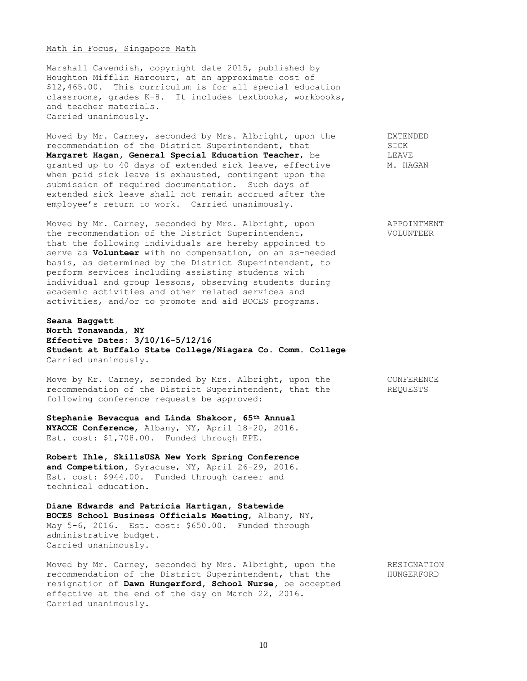#### Math in Focus, Singapore Math

Marshall Cavendish, copyright date 2015, published by Houghton Mifflin Harcourt, at an approximate cost of \$12,465.00. This curriculum is for all special education classrooms, grades K-8. It includes textbooks, workbooks, and teacher materials. Carried unanimously.

Moved by Mr. Carney, seconded by Mrs. Albright, upon the EXTENDED recommendation of the District Superintendent, that SICK SICK<br> **Margaret Hagan, General Special Education Teacher,** be SILEAVE Margaret Hagan, General Special Education Teacher, be granted up to 40 days of extended sick leave, effective M. HAGAN when paid sick leave is exhausted, contingent upon the submission of required documentation. Such days of extended sick leave shall not remain accrued after the employee's return to work. Carried unanimously.

Moved by Mr. Carney, seconded by Mrs. Albright, upon APPOINTMENT the recommendation of the District Superintendent, VOLUNTEER that the following individuals are hereby appointed to serve as **Volunteer** with no compensation, on an as-needed basis, as determined by the District Superintendent, to perform services including assisting students with individual and group lessons, observing students during academic activities and other related services and activities, and/or to promote and aid BOCES programs.

## **Seana Baggett North Tonawanda, NY Effective Dates: 3/10/16-5/12/16 Student at Buffalo State College/Niagara Co. Comm. College** Carried unanimously.

Move by Mr. Carney, seconded by Mrs. Albright, upon the CONFERENCE recommendation of the District Superintendent, that the REQUESTS following conference requests be approved:

**Stephanie Bevacqua and Linda Shakoor, 65th Annual NYACCE Conference**, Albany, NY, April 18-20, 2016. Est. cost: \$1,708.00. Funded through EPE.

**Robert Ihle, SkillsUSA New York Spring Conference and Competition,** Syracuse, NY, April 26-29, 2016. Est. cost: \$944.00. Funded through career and technical education.

**Diane Edwards and Patricia Hartigan, Statewide BOCES School Business Officials Meeting**, Albany, NY, May 5-6, 2016. Est. cost: \$650.00. Funded through administrative budget. Carried unanimously.

Moved by Mr. Carney, seconded by Mrs. Albright, upon the RESIGNATION recommendation of the District Superintendent, that the HUNGERFORD resignation of **Dawn Hungerford, School Nurse,** be accepted effective at the end of the day on March 22, 2016. Carried unanimously.